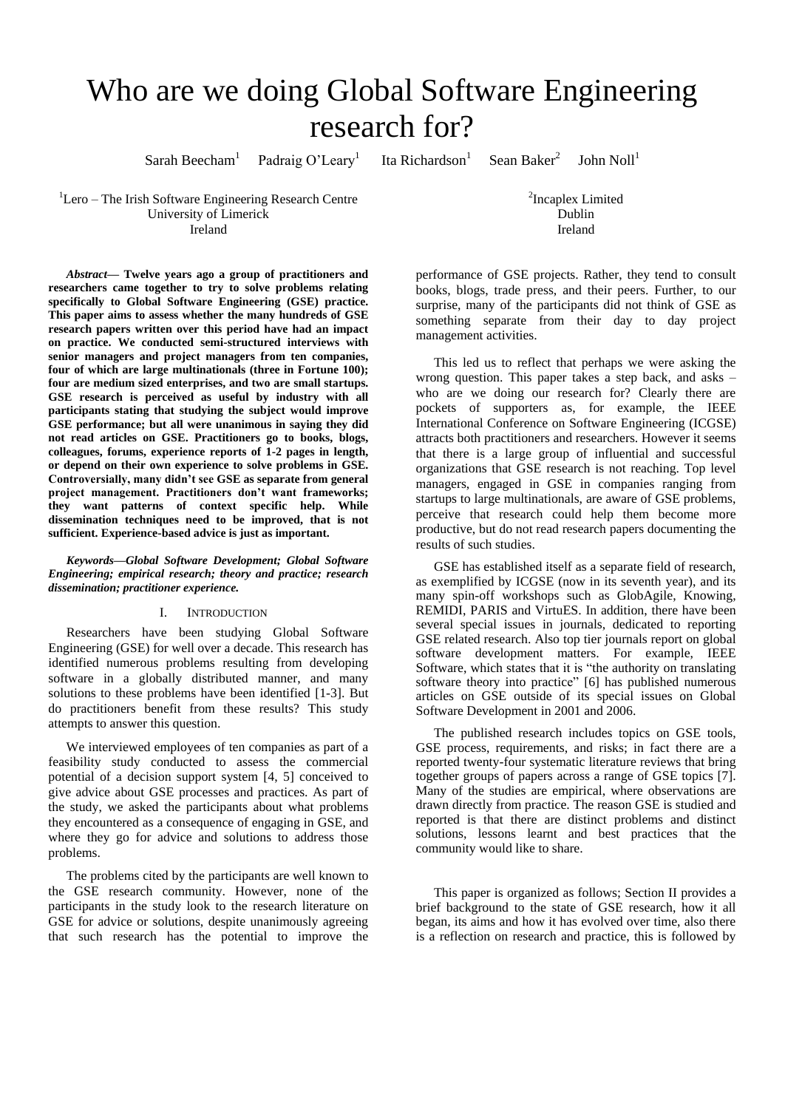# Who are we doing Global Software Engineering research for?

Sarah Beecham<sup>1</sup>

Padraig O'Leary<sup>1</sup>

Ita Richardson<sup>1</sup>

Sean Baker $2$ 

John  $Nol1<sup>1</sup>$ 

 ${}^{1}$ Lero – The Irish Software Engineering Research Centre University of Limerick Ireland

<sup>2</sup>Incaplex Limited Dublin Ireland

*Abstract***— Twelve years ago a group of practitioners and researchers came together to try to solve problems relating specifically to Global Software Engineering (GSE) practice. This paper aims to assess whether the many hundreds of GSE research papers written over this period have had an impact on practice. We conducted semi-structured interviews with senior managers and project managers from ten companies, four of which are large multinationals (three in Fortune 100); four are medium sized enterprises, and two are small startups. GSE research is perceived as useful by industry with all participants stating that studying the subject would improve GSE performance; but all were unanimous in saying they did not read articles on GSE. Practitioners go to books, blogs, colleagues, forums, experience reports of 1-2 pages in length, or depend on their own experience to solve problems in GSE. Controversially, many didn't see GSE as separate from general project management. Practitioners don't want frameworks; they want patterns of context specific help. While dissemination techniques need to be improved, that is not sufficient. Experience-based advice is just as important.**

*Keywords—Global Software Development; Global Software Engineering; empirical research; theory and practice; research dissemination; practitioner experience.*

# I. INTRODUCTION

Researchers have been studying Global Software Engineering (GSE) for well over a decade. This research has identified numerous problems resulting from developing software in a globally distributed manner, and many solutions to these problems have been identified [\[1-3\]](#page-8-0). But do practitioners benefit from these results? This study attempts to answer this question.

We interviewed employees of ten companies as part of a feasibility study conducted to assess the commercial potential of a decision support system [\[4,](#page-8-1) [5\]](#page-8-2) conceived to give advice about GSE processes and practices. As part of the study, we asked the participants about what problems they encountered as a consequence of engaging in GSE, and where they go for advice and solutions to address those problems.

The problems cited by the participants are well known to the GSE research community. However, none of the participants in the study look to the research literature on GSE for advice or solutions, despite unanimously agreeing that such research has the potential to improve the performance of GSE projects. Rather, they tend to consult books, blogs, trade press, and their peers. Further, to our surprise, many of the participants did not think of GSE as something separate from their day to day project management activities.

This led us to reflect that perhaps we were asking the wrong question. This paper takes a step back, and asks – who are we doing our research for? Clearly there are pockets of supporters as, for example, the IEEE International Conference on Software Engineering (ICGSE) attracts both practitioners and researchers. However it seems that there is a large group of influential and successful organizations that GSE research is not reaching. Top level managers, engaged in GSE in companies ranging from startups to large multinationals, are aware of GSE problems, perceive that research could help them become more productive, but do not read research papers documenting the results of such studies.

GSE has established itself as a separate field of research, as exemplified by ICGSE (now in its seventh year), and its many spin-off workshops such as GlobAgile, Knowing, REMIDI, PARIS and VirtuES. In addition, there have been several special issues in journals, dedicated to reporting GSE related research. Also top tier journals report on global software development matters. For example, IEEE Software, which states that it is "the authority on translating software theory into practice" [\[6\]](#page-8-3) has published numerous articles on GSE outside of its special issues on Global Software Development in 2001 and 2006.

The published research includes topics on GSE tools, GSE process, requirements, and risks; in fact there are a reported twenty-four systematic literature reviews that bring together groups of papers across a range of GSE topics [\[7\]](#page-8-4). Many of the studies are empirical, where observations are drawn directly from practice. The reason GSE is studied and reported is that there are distinct problems and distinct solutions, lessons learnt and best practices that the community would like to share.

This paper is organized as follows; Section II provides a brief background to the state of GSE research, how it all began, its aims and how it has evolved over time, also there is a reflection on research and practice, this is followed by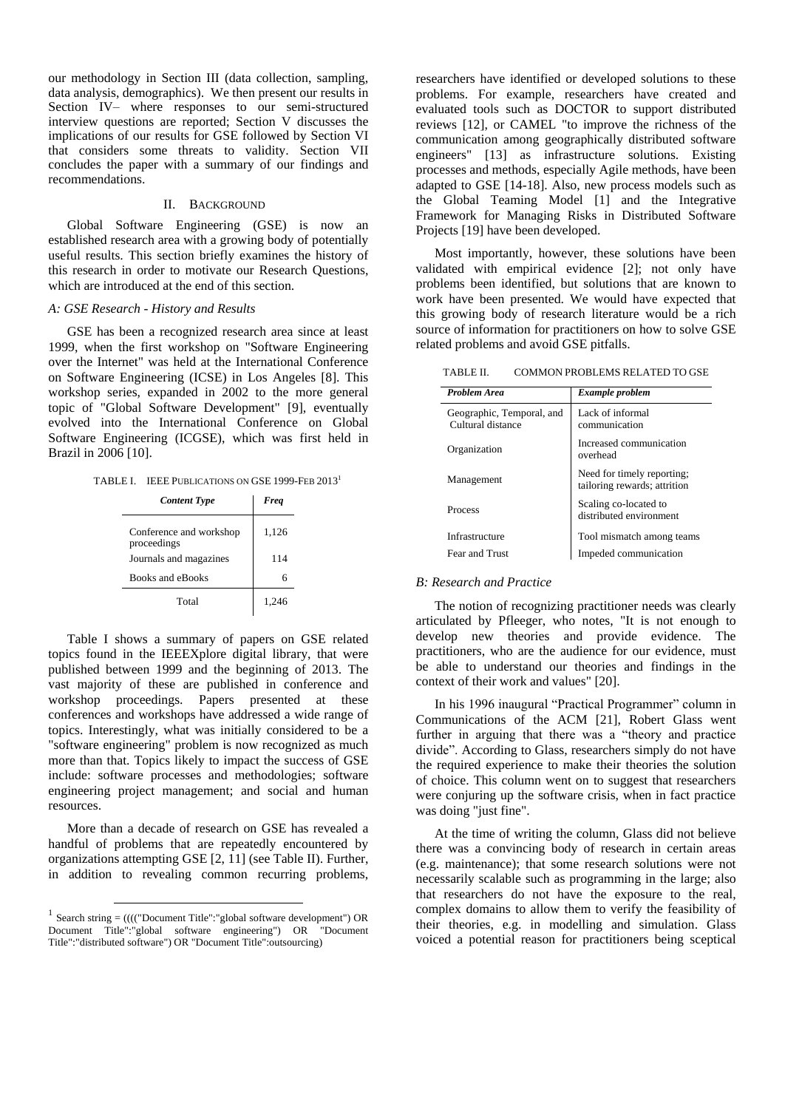our methodology in Section III (data collection, sampling, data analysis, demographics). We then present our results in Section IV– where responses to our semi-structured interview questions are reported; Section V discusses the implications of our results for GSE followed by Section VI that considers some threats to validity. Section VII concludes the paper with a summary of our findings and recommendations.

# II. BACKGROUND

Global Software Engineering (GSE) is now an established research area with a growing body of potentially useful results. This section briefly examines the history of this research in order to motivate our Research Questions, which are introduced at the end of this section.

# *A: GSE Research - History and Results*

GSE has been a recognized research area since at least 1999, when the first workshop on "Software Engineering over the Internet" was held at the International Conference on Software Engineering (ICSE) in Los Angeles [\[8\]](#page-8-5). This workshop series, expanded in 2002 to the more general topic of "Global Software Development" [\[9\]](#page-8-6), eventually evolved into the International Conference on Global Software Engineering (ICGSE), which was first held in Brazil in 2006 [\[10\]](#page-8-7).

TABLE I. IEEE PUBLICATIONS ON GSE 1999-FEB 2013<sup>1</sup>

| <b>Content Type</b>                    | <b>Freq</b> |
|----------------------------------------|-------------|
| Conference and workshop<br>proceedings | 1,126       |
| Journals and magazines                 | 114         |
| Books and eBooks                       |             |
| Total                                  | 1.246       |

Table I shows a summary of papers on GSE related topics found in the IEEEXplore digital library, that were published between 1999 and the beginning of 2013. The vast majority of these are published in conference and workshop proceedings. Papers presented at these conferences and workshops have addressed a wide range of topics. Interestingly, what was initially considered to be a "software engineering" problem is now recognized as much more than that. Topics likely to impact the success of GSE include: software processes and methodologies; software engineering project management; and social and human resources.

More than a decade of research on GSE has revealed a handful of problems that are repeatedly encountered by organizations attempting GSE [\[2,](#page-8-8) [11\]](#page-8-9) (see Table II). Further, in addition to revealing common recurring problems,

l

researchers have identified or developed solutions to these problems. For example, researchers have created and evaluated tools such as DOCTOR to support distributed reviews [\[12\]](#page-8-10), or CAMEL "to improve the richness of the communication among geographically distributed software engineers" [\[13\]](#page-8-11) as infrastructure solutions. Existing processes and methods, especially Agile methods, have been adapted to GSE [\[14-18\]](#page-8-12). Also, new process models such as the Global Teaming Model [\[1\]](#page-8-0) and the Integrative Framework for Managing Risks in Distributed Software Projects [\[19\]](#page-8-13) have been developed.

Most importantly, however, these solutions have been validated with empirical evidence [\[2\]](#page-8-8); not only have problems been identified, but solutions that are known to work have been presented. We would have expected that this growing body of research literature would be a rich source of information for practitioners on how to solve GSE related problems and avoid GSE pitfalls.

TABLE II. COMMON PROBLEMS RELATED TO GSE

| Problem Area                                   | Example problem                                            |
|------------------------------------------------|------------------------------------------------------------|
| Geographic, Temporal, and<br>Cultural distance | Lack of informal<br>communication                          |
| Organization                                   | Increased communication<br>overhead                        |
| Management                                     | Need for timely reporting;<br>tailoring rewards; attrition |
| Process                                        | Scaling co-located to<br>distributed environment           |
| Infrastructure                                 | Tool mismatch among teams                                  |
| Fear and Trust                                 | Impeded communication                                      |

### *B: Research and Practice*

The notion of recognizing practitioner needs was clearly articulated by Pfleeger, who notes, "It is not enough to develop new theories and provide evidence. The practitioners, who are the audience for our evidence, must be able to understand our theories and findings in the context of their work and values" [\[20\]](#page-9-0).

In his 1996 inaugural "Practical Programmer" column in Communications of the ACM [\[21\]](#page-9-1), Robert Glass went further in arguing that there was a "theory and practice divide". According to Glass, researchers simply do not have the required experience to make their theories the solution of choice. This column went on to suggest that researchers were conjuring up the software crisis, when in fact practice was doing "just fine".

At the time of writing the column, Glass did not believe there was a convincing body of research in certain areas (e.g. maintenance); that some research solutions were not necessarily scalable such as programming in the large; also that researchers do not have the exposure to the real, complex domains to allow them to verify the feasibility of their theories, e.g. in modelling and simulation. Glass voiced a potential reason for practitioners being sceptical

<sup>&</sup>lt;sup>1</sup> Search string = (((("Document Title":"global software development") OR Document Title":"global software engineering") OR "Document Title":"distributed software") OR "Document Title":outsourcing)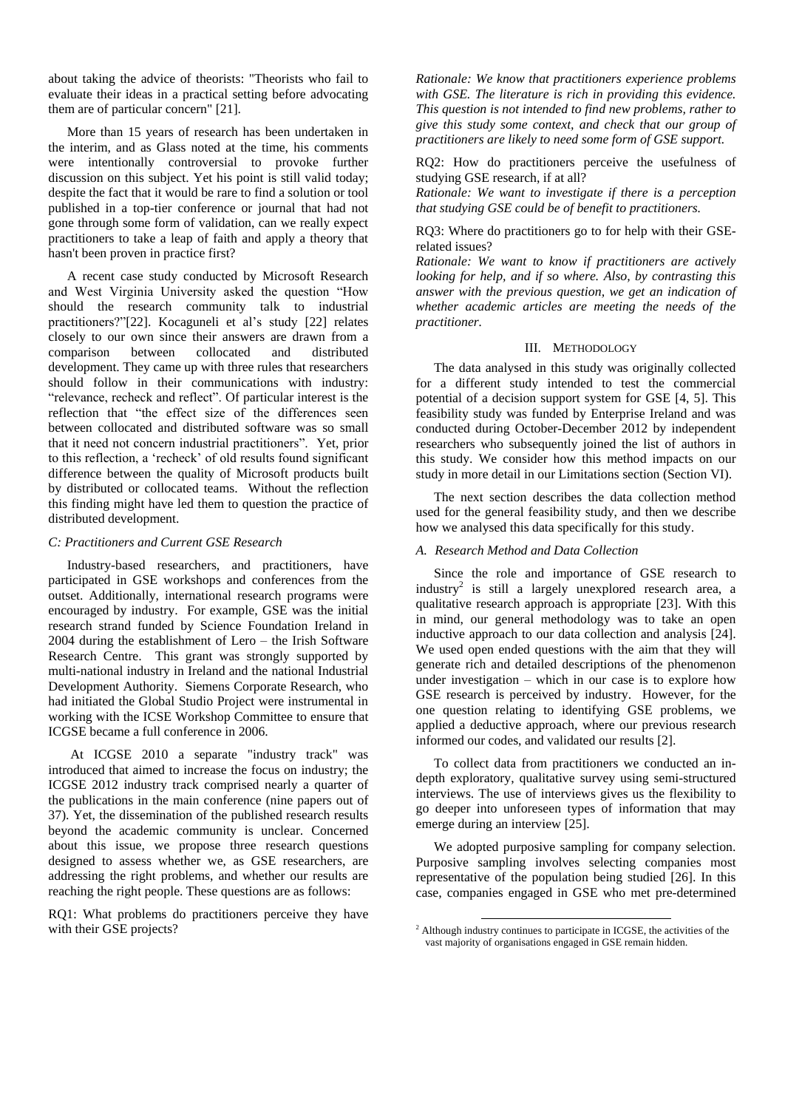about taking the advice of theorists: "Theorists who fail to evaluate their ideas in a practical setting before advocating them are of particular concern" [\[21\]](#page-9-1).

More than 15 years of research has been undertaken in the interim, and as Glass noted at the time, his comments were intentionally controversial to provoke further discussion on this subject. Yet his point is still valid today; despite the fact that it would be rare to find a solution or tool published in a top-tier conference or journal that had not gone through some form of validation, can we really expect practitioners to take a leap of faith and apply a theory that hasn't been proven in practice first?

A recent case study conducted by Microsoft Research and West Virginia University asked the question "How should the research community talk to industrial practitioners?"[\[22\]](#page-9-2). Kocaguneli et al's study [\[22\]](#page-9-2) relates closely to our own since their answers are drawn from a comparison between collocated and distributed development. They came up with three rules that researchers should follow in their communications with industry: "relevance, recheck and reflect". Of particular interest is the reflection that "the effect size of the differences seen between collocated and distributed software was so small that it need not concern industrial practitioners". Yet, prior to this reflection, a 'recheck' of old results found significant difference between the quality of Microsoft products built by distributed or collocated teams. Without the reflection this finding might have led them to question the practice of distributed development.

# *C: Practitioners and Current GSE Research*

Industry-based researchers, and practitioners, have participated in GSE workshops and conferences from the outset. Additionally, international research programs were encouraged by industry. For example, GSE was the initial research strand funded by Science Foundation Ireland in 2004 during the establishment of Lero – the Irish Software Research Centre. This grant was strongly supported by multi-national industry in Ireland and the national Industrial Development Authority. Siemens Corporate Research, who had initiated the Global Studio Project were instrumental in working with the ICSE Workshop Committee to ensure that ICGSE became a full conference in 2006.

At ICGSE 2010 a separate "industry track" was introduced that aimed to increase the focus on industry; the ICGSE 2012 industry track comprised nearly a quarter of the publications in the main conference (nine papers out of 37). Yet, the dissemination of the published research results beyond the academic community is unclear. Concerned about this issue, we propose three research questions designed to assess whether we, as GSE researchers, are addressing the right problems, and whether our results are reaching the right people. These questions are as follows:

RQ1: What problems do practitioners perceive they have with their GSE projects?

*Rationale: We know that practitioners experience problems with GSE. The literature is rich in providing this evidence. This question is not intended to find new problems, rather to give this study some context, and check that our group of practitioners are likely to need some form of GSE support.*

RQ2: How do practitioners perceive the usefulness of studying GSE research, if at all?

*Rationale: We want to investigate if there is a perception that studying GSE could be of benefit to practitioners.*

RQ3: Where do practitioners go to for help with their GSErelated issues?

*Rationale: We want to know if practitioners are actively looking for help, and if so where. Also, by contrasting this answer with the previous question, we get an indication of whether academic articles are meeting the needs of the practitioner.*

#### III. METHODOLOGY

The data analysed in this study was originally collected for a different study intended to test the commercial potential of a decision support system for GSE [\[4,](#page-8-1) [5\]](#page-8-2). This feasibility study was funded by Enterprise Ireland and was conducted during October-December 2012 by independent researchers who subsequently joined the list of authors in this study. We consider how this method impacts on our study in more detail in our Limitations section (Section VI).

The next section describes the data collection method used for the general feasibility study, and then we describe how we analysed this data specifically for this study.

#### *A. Research Method and Data Collection*

Since the role and importance of GSE research to industry<sup>2</sup> is still a largely unexplored research area, a qualitative research approach is appropriate [\[23\]](#page-9-3). With this in mind, our general methodology was to take an open inductive approach to our data collection and analysis [\[24\]](#page-9-4). We used open ended questions with the aim that they will generate rich and detailed descriptions of the phenomenon under investigation – which in our case is to explore how GSE research is perceived by industry. However, for the one question relating to identifying GSE problems, we applied a deductive approach, where our previous research informed our codes, and validated our results [\[2\]](#page-8-8).

To collect data from practitioners we conducted an indepth exploratory, qualitative survey using semi-structured interviews. The use of interviews gives us the flexibility to go deeper into unforeseen types of information that may emerge during an interview [\[25\]](#page-9-5).

We adopted purposive sampling for company selection. Purposive sampling involves selecting companies most representative of the population being studied [\[26\]](#page-9-6). In this case, companies engaged in GSE who met pre-determined

1

 $2$  Although industry continues to participate in ICGSE, the activities of the vast majority of organisations engaged in GSE remain hidden.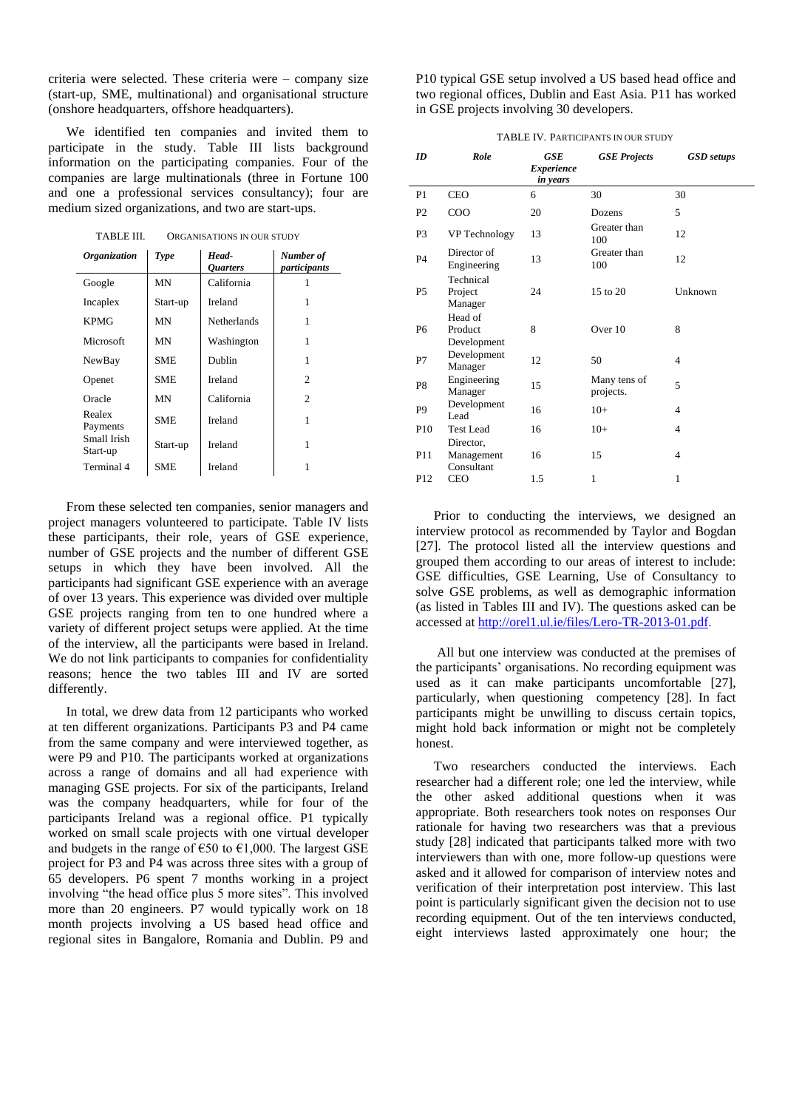criteria were selected. These criteria were – company size (start-up, SME, multinational) and organisational structure (onshore headquarters, offshore headquarters).

We identified ten companies and invited them to participate in the study. Table III lists background information on the participating companies. Four of the companies are large multinationals (three in Fortune 100 and one a professional services consultancy); four are medium sized organizations, and two are start-ups.

TABLE III. ORGANISATIONS IN OUR STUDY

| <i><b>Organization</b></i> | Type       | Head-<br><i><b>Ouarters</b></i> | Number of<br>participants |
|----------------------------|------------|---------------------------------|---------------------------|
| Google                     | MN         | California                      |                           |
| Incaplex                   | Start-up   | Ireland                         | 1                         |
| <b>KPMG</b>                | MN         | Netherlands                     |                           |
| Microsoft                  | MN         | Washington                      | 1                         |
| NewBay                     | <b>SME</b> | Dublin                          | 1                         |
| Openet                     | <b>SME</b> | Ireland                         | 2                         |
| Oracle                     | MN         | California                      | 2                         |
| Realex<br>Payments         | <b>SME</b> | Ireland                         | 1                         |
| Small Irish<br>Start-up    | Start-up   | Ireland                         | 1                         |
| Terminal 4                 | <b>SME</b> | Ireland                         |                           |

From these selected ten companies, senior managers and project managers volunteered to participate. Table IV lists these participants, their role, years of GSE experience, number of GSE projects and the number of different GSE setups in which they have been involved. All the participants had significant GSE experience with an average of over 13 years. This experience was divided over multiple GSE projects ranging from ten to one hundred where a variety of different project setups were applied. At the time of the interview, all the participants were based in Ireland. We do not link participants to companies for confidentiality reasons; hence the two tables III and IV are sorted differently.

In total, we drew data from 12 participants who worked at ten different organizations. Participants P3 and P4 came from the same company and were interviewed together, as were P9 and P10. The participants worked at organizations across a range of domains and all had experience with managing GSE projects. For six of the participants, Ireland was the company headquarters, while for four of the participants Ireland was a regional office. P1 typically worked on small scale projects with one virtual developer and budgets in the range of  $\epsilon$ 50 to  $\epsilon$ 1,000. The largest GSE project for P3 and P4 was across three sites with a group of 65 developers. P6 spent 7 months working in a project involving "the head office plus 5 more sites". This involved more than 20 engineers. P7 would typically work on 18 month projects involving a US based head office and regional sites in Bangalore, Romania and Dublin. P9 and

P10 typical GSE setup involved a US based head office and two regional offices, Dublin and East Asia. P11 has worked in GSE projects involving 30 developers.

| ID              | Role                                  | <b>GSE</b><br><b>Experience</b><br><i>in years</i> | <b>GSE</b> Projects       | <b>GSD</b> setups |
|-----------------|---------------------------------------|----------------------------------------------------|---------------------------|-------------------|
| P <sub>1</sub>  | CEO                                   | 6                                                  | 30                        | 30                |
| P <sub>2</sub>  | COO                                   | 20                                                 | Dozens                    | 5                 |
| P <sub>3</sub>  | VP Technology                         | 13                                                 | Greater than<br>100       | 12                |
| <b>P4</b>       | Director of<br>Engineering            | 13                                                 | Greater than<br>100       | 12                |
| P <sub>5</sub>  | Technical<br>Project<br>Manager       | 24                                                 | 15 to 20                  | Unknown           |
| P <sub>6</sub>  | Head of<br>Product<br>Development     | 8                                                  | Over 10                   | 8                 |
| P7              | Development<br>Manager                | 12                                                 | 50                        | 4                 |
| P <sub>8</sub>  | Engineering<br>Manager                | 15                                                 | Many tens of<br>projects. | 5                 |
| P <sub>9</sub>  | Development<br>Lead                   | 16                                                 | $10+$                     | 4                 |
| P <sub>10</sub> | Test Lead                             | 16                                                 | $10+$                     | 4                 |
| P <sub>11</sub> | Director,<br>Management<br>Consultant | 16                                                 | 15                        | 4                 |
| P <sub>12</sub> | <b>CEO</b>                            | 1.5                                                | 1                         | $\mathbf{1}$      |

Prior to conducting the interviews, we designed an interview protocol as recommended by Taylor and Bogdan [\[27\]](#page-9-7). The protocol listed all the interview questions and grouped them according to our areas of interest to include: GSE difficulties, GSE Learning, Use of Consultancy to solve GSE problems, as well as demographic information (as listed in Tables III and IV). The questions asked can be accessed at [http://orel1.ul.ie/files/Lero-TR-2013-01.pdf.](http://orel1.ul.ie/files/Lero-TR-2013-01.pdf)

All but one interview was conducted at the premises of the participants' organisations. No recording equipment was used as it can make participants uncomfortable [\[27\]](#page-9-7), particularly, when questioning competency [\[28\]](#page-9-8). In fact participants might be unwilling to discuss certain topics, might hold back information or might not be completely honest.

Two researchers conducted the interviews. Each researcher had a different role; one led the interview, while the other asked additional questions when it was appropriate. Both researchers took notes on responses Our rationale for having two researchers was that a previous study [\[28\]](#page-9-8) indicated that participants talked more with two interviewers than with one, more follow-up questions were asked and it allowed for comparison of interview notes and verification of their interpretation post interview. This last point is particularly significant given the decision not to use recording equipment. Out of the ten interviews conducted, eight interviews lasted approximately one hour; the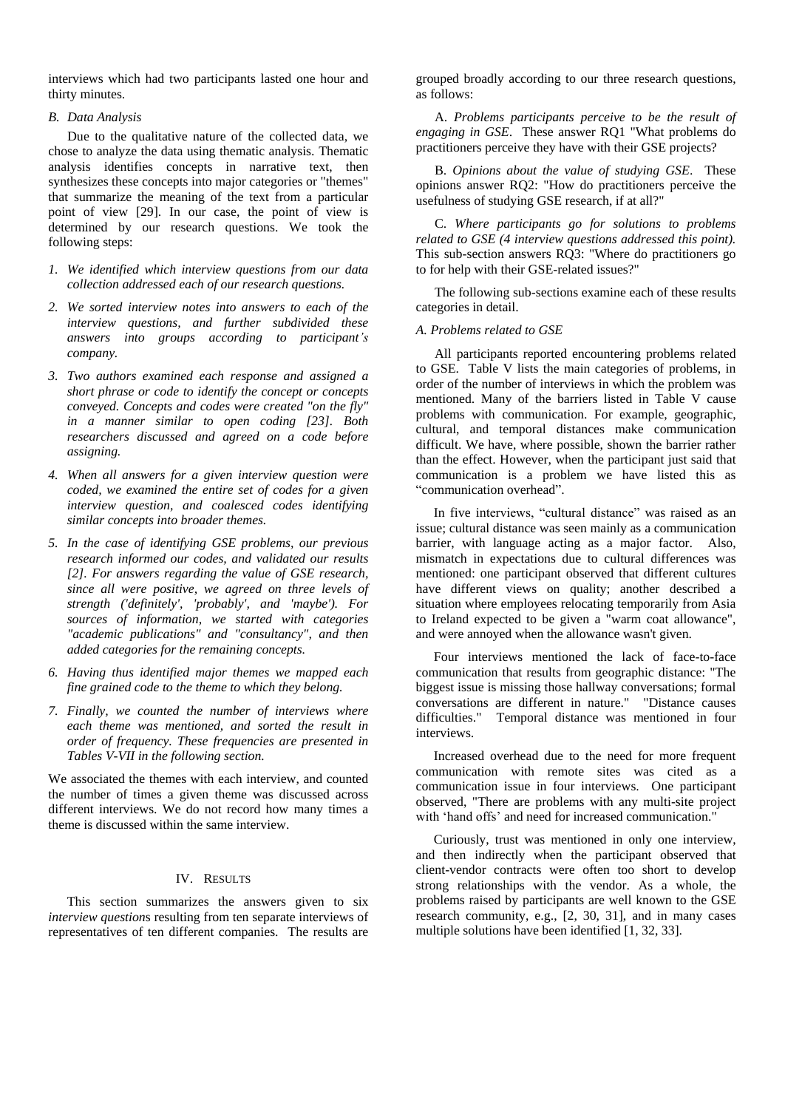interviews which had two participants lasted one hour and thirty minutes.

## *B. Data Analysis*

Due to the qualitative nature of the collected data, we chose to analyze the data using thematic analysis. Thematic analysis identifies concepts in narrative text, then synthesizes these concepts into major categories or "themes" that summarize the meaning of the text from a particular point of view [\[29\]](#page-9-9). In our case, the point of view is determined by our research questions. We took the following steps:

- *1. We identified which interview questions from our data collection addressed each of our research questions.*
- *2. We sorted interview notes into answers to each of the interview questions, and further subdivided these answers into groups according to participant's company.*
- *3. Two authors examined each response and assigned a short phrase or code to identify the concept or concepts conveyed. Concepts and codes were created "on the fly" in a manner similar to open coding [23]. Both researchers discussed and agreed on a code before assigning.*
- *4. When all answers for a given interview question were coded, we examined the entire set of codes for a given interview question, and coalesced codes identifying similar concepts into broader themes.*
- *5. In the case of identifying GSE problems, our previous research informed our codes, and validated our results [\[2\]](#page-8-8). For answers regarding the value of GSE research, since all were positive, we agreed on three levels of strength ('definitely', 'probably', and 'maybe'). For sources of information, we started with categories "academic publications" and "consultancy", and then added categories for the remaining concepts.*
- *6. Having thus identified major themes we mapped each fine grained code to the theme to which they belong.*
- *7. Finally, we counted the number of interviews where each theme was mentioned, and sorted the result in order of frequency. These frequencies are presented in Tables V-VII in the following section.*

We associated the themes with each interview, and counted the number of times a given theme was discussed across different interviews. We do not record how many times a theme is discussed within the same interview.

# IV. RESULTS

This section summarizes the answers given to six *interview question*s resulting from ten separate interviews of representatives of ten different companies. The results are

grouped broadly according to our three research questions, as follows:

A. *Problems participants perceive to be the result of engaging in GSE*. These answer RQ1 "What problems do practitioners perceive they have with their GSE projects?

B. *Opinions about the value of studying GSE*. These opinions answer RQ2: "How do practitioners perceive the usefulness of studying GSE research, if at all?"

C. *Where participants go for solutions to problems related to GSE (4 interview questions addressed this point).* This sub-section answers  $R\overline{Q}3$ : "Where do practitioners go to for help with their GSE-related issues?"

The following sub-sections examine each of these results categories in detail.

# *A. Problems related to GSE*

All participants reported encountering problems related to GSE. Table V lists the main categories of problems, in order of the number of interviews in which the problem was mentioned. Many of the barriers listed in Table V cause problems with communication. For example, geographic, cultural, and temporal distances make communication difficult. We have, where possible, shown the barrier rather than the effect. However, when the participant just said that communication is a problem we have listed this as "communication overhead".

In five interviews, "cultural distance" was raised as an issue; cultural distance was seen mainly as a communication barrier, with language acting as a major factor. Also, mismatch in expectations due to cultural differences was mentioned: one participant observed that different cultures have different views on quality; another described a situation where employees relocating temporarily from Asia to Ireland expected to be given a "warm coat allowance", and were annoyed when the allowance wasn't given.

Four interviews mentioned the lack of face-to-face communication that results from geographic distance: "The biggest issue is missing those hallway conversations; formal conversations are different in nature." "Distance causes difficulties." Temporal distance was mentioned in four interviews.

Increased overhead due to the need for more frequent communication with remote sites was cited as a communication issue in four interviews. One participant observed, "There are problems with any multi-site project with 'hand offs' and need for increased communication."

Curiously, trust was mentioned in only one interview, and then indirectly when the participant observed that client-vendor contracts were often too short to develop strong relationships with the vendor. As a whole, the problems raised by participants are well known to the GSE research community, e.g., [\[2,](#page-8-8) [30,](#page-9-10) [31\]](#page-9-11), and in many cases multiple solutions have been identified [\[1,](#page-8-0) [32,](#page-9-12) [33\]](#page-9-13).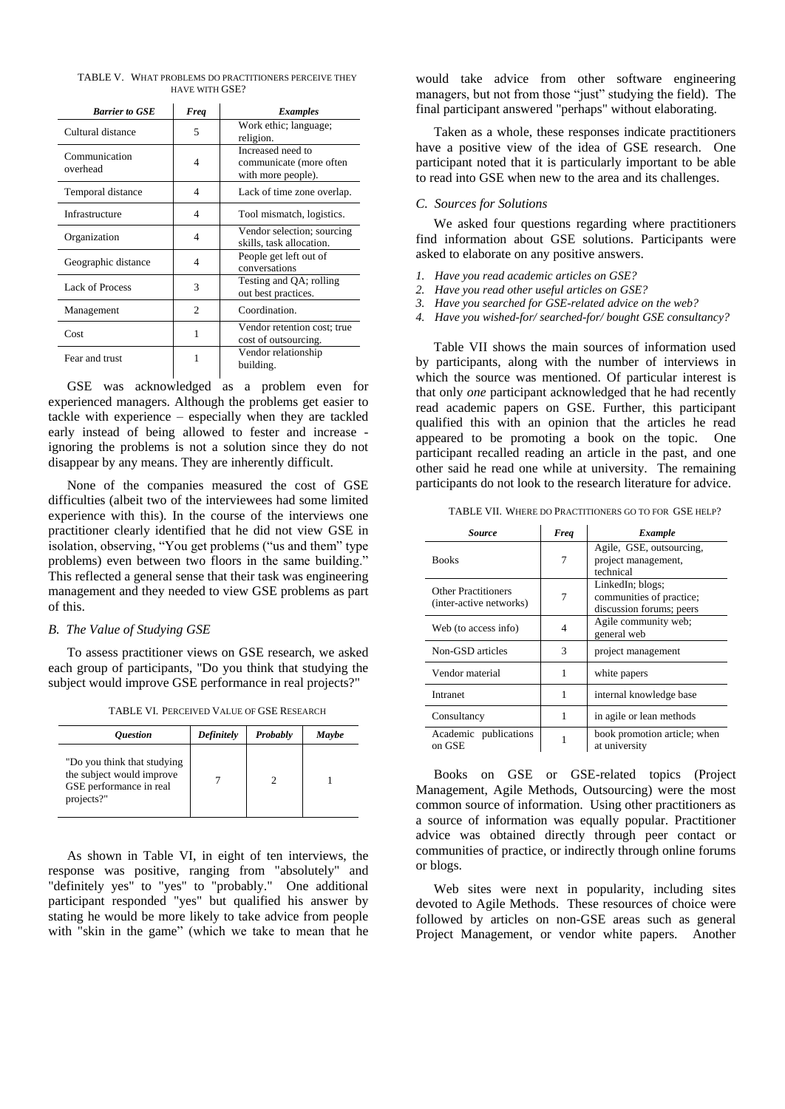| <b>Barrier to GSE</b>     | <b>Freq</b>    | Examples                                                           |
|---------------------------|----------------|--------------------------------------------------------------------|
| Cultural distance         | 5              | Work ethic; language;<br>religion.                                 |
| Communication<br>overhead | 4              | Increased need to<br>communicate (more often<br>with more people). |
| Temporal distance         | 4              | Lack of time zone overlap.                                         |
| Infrastructure            | $\overline{4}$ | Tool mismatch, logistics.                                          |
| Organization              | 4              | Vendor selection; sourcing<br>skills, task allocation.             |
| Geographic distance       | 4              | People get left out of<br>conversations                            |
| Lack of Process           | 3              | Testing and QA; rolling<br>out best practices.                     |
| Management                | $\overline{c}$ | Coordination.                                                      |
| Cost                      | 1              | Vendor retention cost; true<br>cost of outsourcing.                |
| Fear and trust            | 1              | Vendor relationship<br>building.                                   |

#### TABLE V. WHAT PROBLEMS DO PRACTITIONERS PERCEIVE THEY HAVE WITH GSE?

GSE was acknowledged as a problem even for experienced managers. Although the problems get easier to tackle with experience – especially when they are tackled early instead of being allowed to fester and increase ignoring the problems is not a solution since they do not disappear by any means. They are inherently difficult.

None of the companies measured the cost of GSE difficulties (albeit two of the interviewees had some limited experience with this). In the course of the interviews one practitioner clearly identified that he did not view GSE in isolation, observing, "You get problems ("us and them" type problems) even between two floors in the same building." This reflected a general sense that their task was engineering management and they needed to view GSE problems as part of this.

# *B. The Value of Studying GSE*

To assess practitioner views on GSE research, we asked each group of participants, "Do you think that studying the subject would improve GSE performance in real projects?"

TABLE VI. PERCEIVED VALUE OF GSE RESEARCH

| <i><b>Ouestion</b></i>                                                                            | <b>Definitely</b> | Probably | Maybe |
|---------------------------------------------------------------------------------------------------|-------------------|----------|-------|
| "Do you think that studying<br>the subject would improve<br>GSE performance in real<br>projects?" |                   |          |       |

As shown in Table VI, in eight of ten interviews, the response was positive, ranging from "absolutely" and "definitely yes" to "yes" to "probably." One additional participant responded "yes" but qualified his answer by stating he would be more likely to take advice from people with "skin in the game" (which we take to mean that he

would take advice from other software engineering managers, but not from those "just" studying the field). The final participant answered "perhaps" without elaborating.

Taken as a whole, these responses indicate practitioners have a positive view of the idea of GSE research. One participant noted that it is particularly important to be able to read into GSE when new to the area and its challenges.

#### *C. Sources for Solutions*

We asked four questions regarding where practitioners find information about GSE solutions. Participants were asked to elaborate on any positive answers.

- *1. Have you read academic articles on GSE?*
- *2. Have you read other useful articles on GSE?*
- *3. Have you searched for GSE-related advice on the web?*
- *4. Have you wished-for/ searched-for/ bought GSE consultancy?*

Table VII shows the main sources of information used by participants, along with the number of interviews in which the source was mentioned. Of particular interest is that only *one* participant acknowledged that he had recently read academic papers on GSE. Further, this participant qualified this with an opinion that the articles he read appeared to be promoting a book on the topic. One participant recalled reading an article in the past, and one other said he read one while at university. The remaining participants do not look to the research literature for advice.

TABLE VII. WHERE DO PRACTITIONERS GO TO FOR GSE HELP?

| <b>Source</b>                                         | Freq | Example                                                                  |
|-------------------------------------------------------|------|--------------------------------------------------------------------------|
| <b>Books</b>                                          | 7    | Agile, GSE, outsourcing,<br>project management,<br>technical             |
| <b>Other Practitioners</b><br>(inter-active networks) |      | LinkedIn; blogs;<br>communities of practice;<br>discussion forums; peers |
| Web (to access info)                                  | 4    | Agile community web;<br>general web                                      |
| Non-GSD articles                                      | 3    | project management                                                       |
| Vendor material                                       | 1    | white papers                                                             |
| Intranet                                              | 1    | internal knowledge base                                                  |
| Consultancy                                           | 1    | in agile or lean methods                                                 |
| Academic publications<br>on GSE                       | 1    | book promotion article; when<br>at university                            |

Books on GSE or GSE-related topics (Project Management, Agile Methods, Outsourcing) were the most common source of information. Using other practitioners as a source of information was equally popular. Practitioner advice was obtained directly through peer contact or communities of practice, or indirectly through online forums or blogs.

Web sites were next in popularity, including sites devoted to Agile Methods. These resources of choice were followed by articles on non-GSE areas such as general Project Management, or vendor white papers. Another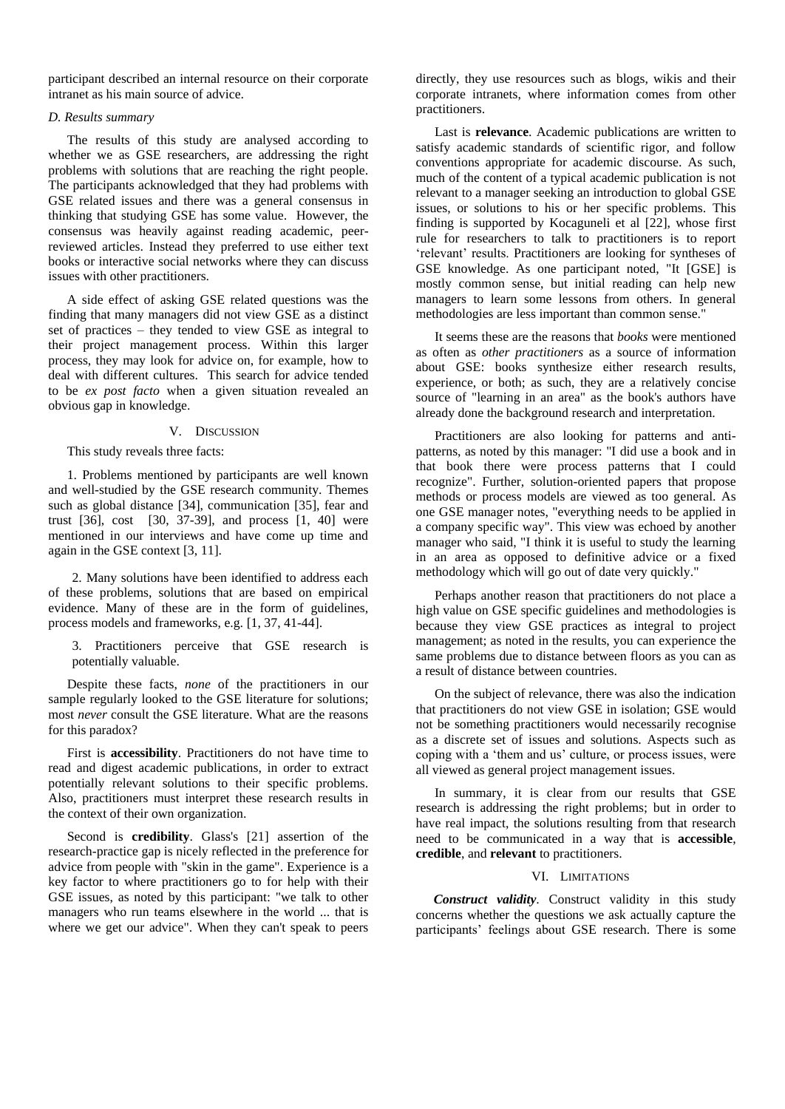participant described an internal resource on their corporate intranet as his main source of advice.

#### *D. Results summary*

The results of this study are analysed according to whether we as GSE researchers, are addressing the right problems with solutions that are reaching the right people. The participants acknowledged that they had problems with GSE related issues and there was a general consensus in thinking that studying GSE has some value. However, the consensus was heavily against reading academic, peerreviewed articles. Instead they preferred to use either text books or interactive social networks where they can discuss issues with other practitioners.

A side effect of asking GSE related questions was the finding that many managers did not view GSE as a distinct set of practices – they tended to view GSE as integral to their project management process. Within this larger process, they may look for advice on, for example, how to deal with different cultures. This search for advice tended to be *ex post facto* when a given situation revealed an obvious gap in knowledge.

# V. DISCUSSION

This study reveals three facts:

1. Problems mentioned by participants are well known and well-studied by the GSE research community. Themes such as global distance [\[34\]](#page-9-14), communication [\[35\]](#page-9-15), fear and trust [\[36\]](#page-9-16), cost [\[30,](#page-9-10) [37-39\]](#page-9-17), and process [\[1,](#page-8-0) [40\]](#page-9-18) were mentioned in our interviews and have come up time and again in the GSE context [\[3,](#page-8-14) [11\]](#page-8-9).

2. Many solutions have been identified to address each of these problems, solutions that are based on empirical evidence. Many of these are in the form of guidelines, process models and frameworks, e.g. [\[1,](#page-8-0) [37,](#page-9-17) [41-44\]](#page-9-19).

3. Practitioners perceive that GSE research is potentially valuable.

Despite these facts, *none* of the practitioners in our sample regularly looked to the GSE literature for solutions; most *never* consult the GSE literature. What are the reasons for this paradox?

First is **accessibility**. Practitioners do not have time to read and digest academic publications, in order to extract potentially relevant solutions to their specific problems. Also, practitioners must interpret these research results in the context of their own organization.

Second is **credibility**. Glass's [\[21\]](#page-9-1) assertion of the research-practice gap is nicely reflected in the preference for advice from people with "skin in the game". Experience is a key factor to where practitioners go to for help with their GSE issues, as noted by this participant: "we talk to other managers who run teams elsewhere in the world ... that is where we get our advice". When they can't speak to peers

directly, they use resources such as blogs, wikis and their corporate intranets, where information comes from other practitioners.

Last is **relevance**. Academic publications are written to satisfy academic standards of scientific rigor, and follow conventions appropriate for academic discourse. As such, much of the content of a typical academic publication is not relevant to a manager seeking an introduction to global GSE issues, or solutions to his or her specific problems. This finding is supported by Kocaguneli et al [\[22\]](#page-9-2), whose first rule for researchers to talk to practitioners is to report 'relevant' results. Practitioners are looking for syntheses of GSE knowledge. As one participant noted, "It [GSE] is mostly common sense, but initial reading can help new managers to learn some lessons from others. In general methodologies are less important than common sense."

It seems these are the reasons that *books* were mentioned as often as *other practitioners* as a source of information about GSE: books synthesize either research results, experience, or both; as such, they are a relatively concise source of "learning in an area" as the book's authors have already done the background research and interpretation.

Practitioners are also looking for patterns and antipatterns, as noted by this manager: "I did use a book and in that book there were process patterns that I could recognize". Further, solution-oriented papers that propose methods or process models are viewed as too general. As one GSE manager notes, "everything needs to be applied in a company specific way". This view was echoed by another manager who said, "I think it is useful to study the learning in an area as opposed to definitive advice or a fixed methodology which will go out of date very quickly."

Perhaps another reason that practitioners do not place a high value on GSE specific guidelines and methodologies is because they view GSE practices as integral to project management; as noted in the results, you can experience the same problems due to distance between floors as you can as a result of distance between countries.

On the subject of relevance, there was also the indication that practitioners do not view GSE in isolation; GSE would not be something practitioners would necessarily recognise as a discrete set of issues and solutions. Aspects such as coping with a 'them and us' culture, or process issues, were all viewed as general project management issues.

In summary, it is clear from our results that GSE research is addressing the right problems; but in order to have real impact, the solutions resulting from that research need to be communicated in a way that is **accessible**, **credible**, and **relevant** to practitioners.

## VI. LIMITATIONS

*Construct validity*. Construct validity in this study concerns whether the questions we ask actually capture the participants' feelings about GSE research. There is some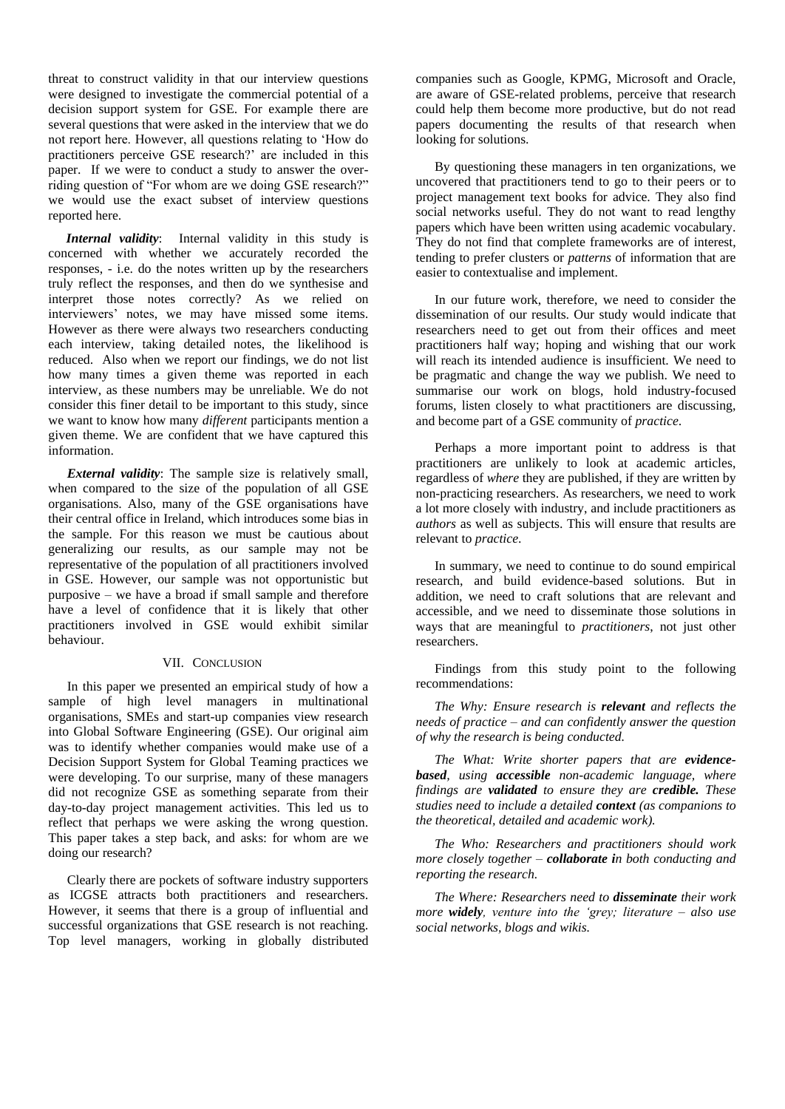threat to construct validity in that our interview questions were designed to investigate the commercial potential of a decision support system for GSE. For example there are several questions that were asked in the interview that we do not report here. However, all questions relating to 'How do practitioners perceive GSE research?' are included in this paper. If we were to conduct a study to answer the overriding question of "For whom are we doing GSE research?" we would use the exact subset of interview questions reported here.

*Internal validity*: Internal validity in this study is concerned with whether we accurately recorded the responses, - i.e. do the notes written up by the researchers truly reflect the responses, and then do we synthesise and interpret those notes correctly? As we relied on interviewers' notes, we may have missed some items. However as there were always two researchers conducting each interview, taking detailed notes, the likelihood is reduced. Also when we report our findings, we do not list how many times a given theme was reported in each interview, as these numbers may be unreliable. We do not consider this finer detail to be important to this study, since we want to know how many *different* participants mention a given theme. We are confident that we have captured this information.

*External validity*: The sample size is relatively small, when compared to the size of the population of all GSE organisations. Also, many of the GSE organisations have their central office in Ireland, which introduces some bias in the sample. For this reason we must be cautious about generalizing our results, as our sample may not be representative of the population of all practitioners involved in GSE. However, our sample was not opportunistic but purposive – we have a broad if small sample and therefore have a level of confidence that it is likely that other practitioners involved in GSE would exhibit similar behaviour.

## VII. CONCLUSION

In this paper we presented an empirical study of how a sample of high level managers in multinational organisations, SMEs and start-up companies view research into Global Software Engineering (GSE). Our original aim was to identify whether companies would make use of a Decision Support System for Global Teaming practices we were developing. To our surprise, many of these managers did not recognize GSE as something separate from their day-to-day project management activities. This led us to reflect that perhaps we were asking the wrong question. This paper takes a step back, and asks: for whom are we doing our research?

Clearly there are pockets of software industry supporters as ICGSE attracts both practitioners and researchers. However, it seems that there is a group of influential and successful organizations that GSE research is not reaching. Top level managers, working in globally distributed companies such as Google, KPMG, Microsoft and Oracle, are aware of GSE-related problems, perceive that research could help them become more productive, but do not read papers documenting the results of that research when looking for solutions.

By questioning these managers in ten organizations, we uncovered that practitioners tend to go to their peers or to project management text books for advice. They also find social networks useful. They do not want to read lengthy papers which have been written using academic vocabulary. They do not find that complete frameworks are of interest, tending to prefer clusters or *patterns* of information that are easier to contextualise and implement.

In our future work, therefore, we need to consider the dissemination of our results. Our study would indicate that researchers need to get out from their offices and meet practitioners half way; hoping and wishing that our work will reach its intended audience is insufficient. We need to be pragmatic and change the way we publish. We need to summarise our work on blogs, hold industry-focused forums, listen closely to what practitioners are discussing, and become part of a GSE community of *practice*.

Perhaps a more important point to address is that practitioners are unlikely to look at academic articles, regardless of *where* they are published, if they are written by non-practicing researchers. As researchers, we need to work a lot more closely with industry, and include practitioners as *authors* as well as subjects. This will ensure that results are relevant to *practice*.

In summary, we need to continue to do sound empirical research, and build evidence-based solutions. But in addition, we need to craft solutions that are relevant and accessible, and we need to disseminate those solutions in ways that are meaningful to *practitioners*, not just other researchers.

Findings from this study point to the following recommendations:

*The Why: Ensure research is relevant and reflects the needs of practice – and can confidently answer the question of why the research is being conducted.*

*The What: Write shorter papers that are evidencebased, using accessible non-academic language, where findings are validated to ensure they are credible. These studies need to include a detailed context (as companions to the theoretical, detailed and academic work).*

*The Who: Researchers and practitioners should work more closely together – collaborate in both conducting and reporting the research.* 

*The Where: Researchers need to disseminate their work more widely, venture into the 'grey; literature – also use social networks, blogs and wikis.*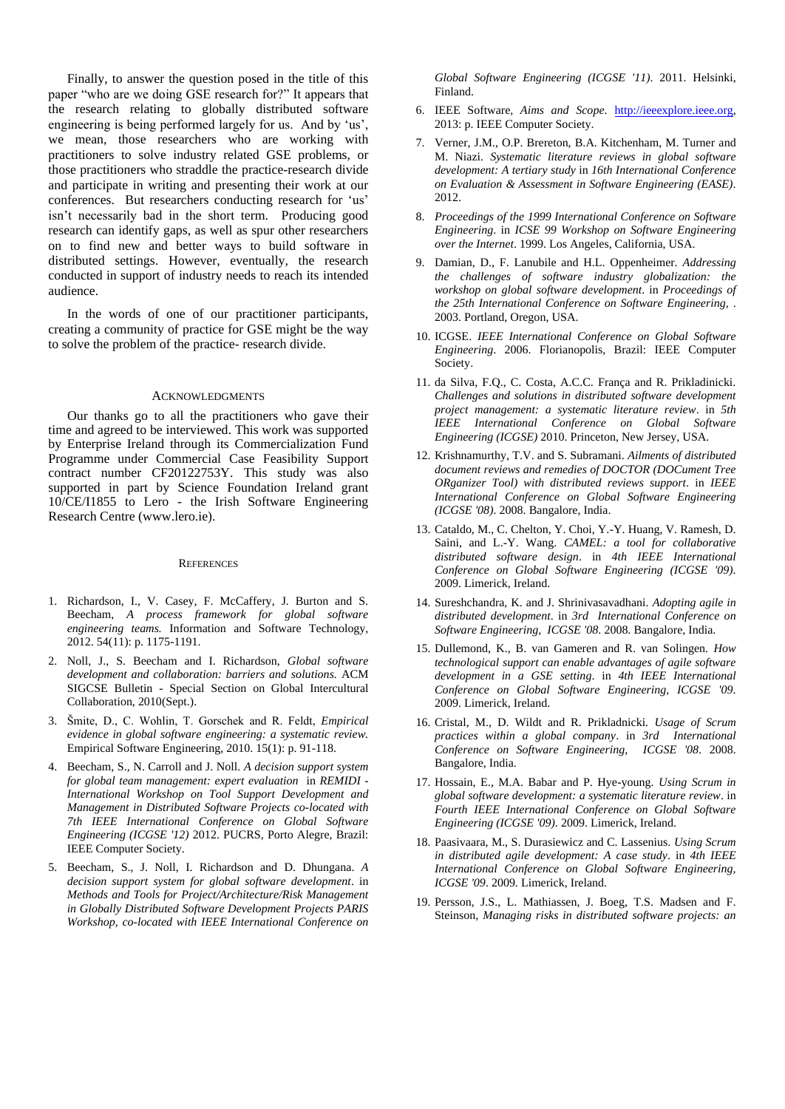Finally, to answer the question posed in the title of this paper "who are we doing GSE research for?" It appears that the research relating to globally distributed software engineering is being performed largely for us. And by 'us', we mean, those researchers who are working with practitioners to solve industry related GSE problems, or those practitioners who straddle the practice-research divide and participate in writing and presenting their work at our conferences. But researchers conducting research for 'us' isn't necessarily bad in the short term. Producing good research can identify gaps, as well as spur other researchers on to find new and better ways to build software in distributed settings. However, eventually, the research conducted in support of industry needs to reach its intended audience.

In the words of one of our practitioner participants, creating a community of practice for GSE might be the way to solve the problem of the practice- research divide.

#### ACKNOWLEDGMENTS

Our thanks go to all the practitioners who gave their time and agreed to be interviewed. This work was supported by Enterprise Ireland through its Commercialization Fund Programme under Commercial Case Feasibility Support contract number CF20122753Y. This study was also supported in part by Science Foundation Ireland grant 10/CE/I1855 to Lero - the Irish Software Engineering Research Centre (www.lero.ie).

#### **REFERENCES**

- <span id="page-8-0"></span>1. Richardson, I., V. Casey, F. McCaffery, J. Burton and S. Beecham, *A process framework for global software engineering teams.* Information and Software Technology, 2012. 54(11): p. 1175-1191.
- <span id="page-8-8"></span>2. Noll, J., S. Beecham and I. Richardson, *Global software development and collaboration: barriers and solutions.* ACM SIGCSE Bulletin - Special Section on Global Intercultural Collaboration, 2010(Sept.).
- <span id="page-8-14"></span>3. Šmite, D., C. Wohlin, T. Gorschek and R. Feldt, *Empirical evidence in global software engineering: a systematic review.* Empirical Software Engineering, 2010. 15(1): p. 91-118.
- <span id="page-8-1"></span>4. Beecham, S., N. Carroll and J. Noll. *A decision support system for global team management: expert evaluation* in *REMIDI - International Workshop on Tool Support Development and Management in Distributed Software Projects co-located with 7th IEEE International Conference on Global Software Engineering (ICGSE '12)* 2012. PUCRS, Porto Alegre, Brazil: IEEE Computer Society.
- <span id="page-8-2"></span>5. Beecham, S., J. Noll, I. Richardson and D. Dhungana. *A decision support system for global software development*. in *Methods and Tools for Project/Architecture/Risk Management in Globally Distributed Software Development Projects PARIS Workshop, co-located with IEEE International Conference on*

*Global Software Engineering (ICGSE '11)*. 2011. Helsinki, Finland.

- <span id="page-8-3"></span>6. IEEE Software, *Aims and Scope.* [http://ieeexplore.ieee.org,](http://ieeexplore.ieee.org/)  2013: p. IEEE Computer Society.
- <span id="page-8-4"></span>7. Verner, J.M., O.P. Brereton, B.A. Kitchenham, M. Turner and M. Niazi. *Systematic literature reviews in global software development: A tertiary study* in *16th International Conference on Evaluation & Assessment in Software Engineering (EASE)*. 2012.
- <span id="page-8-5"></span>8. *Proceedings of the 1999 International Conference on Software Engineering*. in *ICSE 99 Workshop on Software Engineering over the Internet*. 1999. Los Angeles, California, USA.
- <span id="page-8-6"></span>9. Damian, D., F. Lanubile and H.L. Oppenheimer. *Addressing the challenges of software industry globalization: the workshop on global software development*. in *Proceedings of the 25th International Conference on Software Engineering,* . 2003. Portland, Oregon, USA.
- <span id="page-8-7"></span>10. ICGSE. *IEEE International Conference on Global Software Engineering*. 2006. Florianopolis, Brazil: IEEE Computer Society.
- <span id="page-8-9"></span>11. da Silva, F.Q., C. Costa, A.C.C. França and R. Prikladinicki. *Challenges and solutions in distributed software development project management: a systematic literature review*. in *5th IEEE International Conference on Global Software Engineering (ICGSE)* 2010. Princeton, New Jersey, USA.
- <span id="page-8-10"></span>12. Krishnamurthy, T.V. and S. Subramani. *Ailments of distributed document reviews and remedies of DOCTOR (DOCument Tree ORganizer Tool) with distributed reviews support*. in *IEEE International Conference on Global Software Engineering (ICGSE '08)*. 2008. Bangalore, India.
- <span id="page-8-11"></span>13. Cataldo, M., C. Chelton, Y. Choi, Y.-Y. Huang, V. Ramesh, D. Saini, and L.-Y. Wang. *CAMEL: a tool for collaborative distributed software design*. in *4th IEEE International Conference on Global Software Engineering (ICGSE '09)*. 2009. Limerick, Ireland.
- <span id="page-8-12"></span>14. Sureshchandra, K. and J. Shrinivasavadhani. *Adopting agile in distributed development*. in *3rd International Conference on Software Engineering, ICGSE '08*. 2008. Bangalore, India.
- 15. Dullemond, K., B. van Gameren and R. van Solingen. *How technological support can enable advantages of agile software development in a GSE setting*. in *4th IEEE International Conference on Global Software Engineering, ICGSE '09*. 2009. Limerick, Ireland.
- 16. Cristal, M., D. Wildt and R. Prikladnicki. *Usage of Scrum practices within a global company*. in *3rd International Conference on Software Engineering, ICGSE '08*. 2008. Bangalore, India.
- 17. Hossain, E., M.A. Babar and P. Hye-young. *Using Scrum in global software development: a systematic literature review*. in *Fourth IEEE International Conference on Global Software Engineering (ICGSE '09)*. 2009. Limerick, Ireland.
- 18. Paasivaara, M., S. Durasiewicz and C. Lassenius. *Using Scrum in distributed agile development: A case study*. in *4th IEEE International Conference on Global Software Engineering, ICGSE '09*. 2009. Limerick, Ireland.
- <span id="page-8-13"></span>19. Persson, J.S., L. Mathiassen, J. Boeg, T.S. Madsen and F. Steinson, *Managing risks in distributed software projects: an*